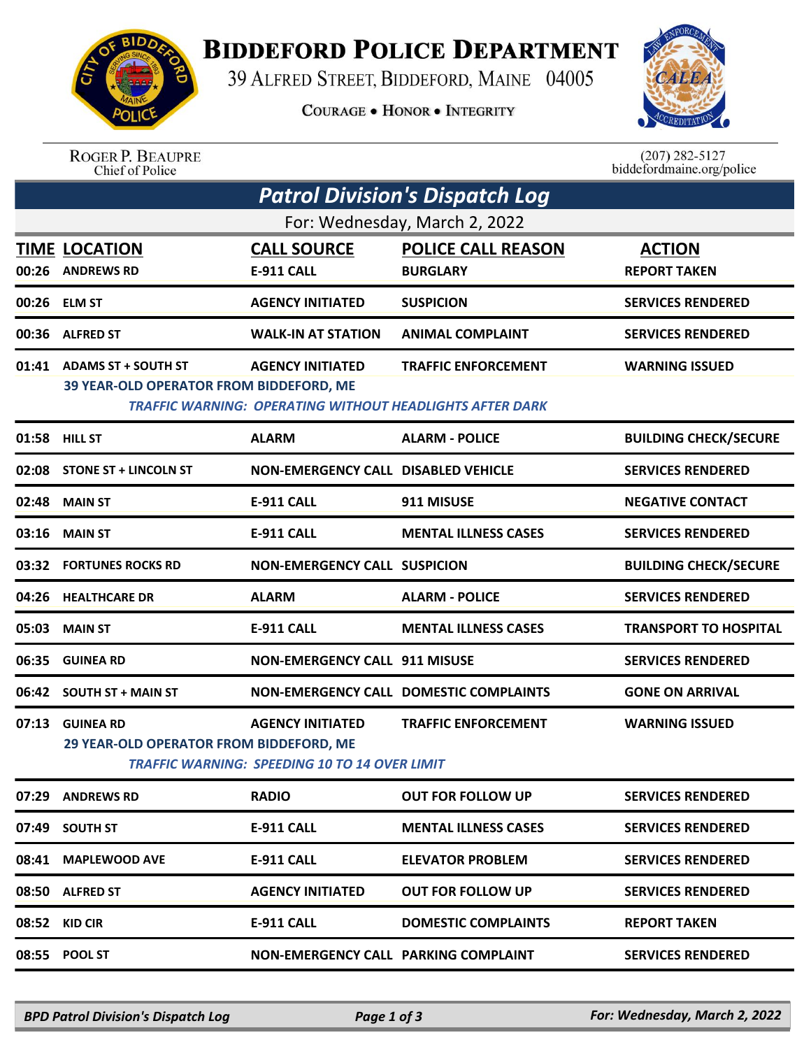

## **BIDDEFORD POLICE DEPARTMENT**

39 ALFRED STREET, BIDDEFORD, MAINE 04005

**COURAGE . HONOR . INTEGRITY** 



ROGER P. BEAUPRE<br>Chief of Police

 $(207)$  282-5127<br>biddefordmaine.org/police

| <b>Patrol Division's Dispatch Log</b> |                                                                       |                                                                                 |                                                                                               |                                      |  |  |  |  |
|---------------------------------------|-----------------------------------------------------------------------|---------------------------------------------------------------------------------|-----------------------------------------------------------------------------------------------|--------------------------------------|--|--|--|--|
| For: Wednesday, March 2, 2022         |                                                                       |                                                                                 |                                                                                               |                                      |  |  |  |  |
| 00:26                                 | <b>TIME LOCATION</b><br><b>ANDREWS RD</b>                             | <b>CALL SOURCE</b><br><b>E-911 CALL</b>                                         | <b>POLICE CALL REASON</b><br><b>BURGLARY</b>                                                  | <b>ACTION</b><br><b>REPORT TAKEN</b> |  |  |  |  |
| 00:26                                 | <b>ELM ST</b>                                                         | <b>AGENCY INITIATED</b>                                                         | <b>SUSPICION</b>                                                                              | <b>SERVICES RENDERED</b>             |  |  |  |  |
| 00:36                                 | <b>ALFRED ST</b>                                                      | <b>WALK-IN AT STATION</b>                                                       | <b>ANIMAL COMPLAINT</b>                                                                       | <b>SERVICES RENDERED</b>             |  |  |  |  |
| 01:41                                 | <b>ADAMS ST + SOUTH ST</b><br>39 YEAR-OLD OPERATOR FROM BIDDEFORD, ME | <b>AGENCY INITIATED</b>                                                         | <b>TRAFFIC ENFORCEMENT</b><br><b>TRAFFIC WARNING: OPERATING WITHOUT HEADLIGHTS AFTER DARK</b> | <b>WARNING ISSUED</b>                |  |  |  |  |
|                                       | 01:58 HILL ST                                                         | <b>ALARM</b>                                                                    | <b>ALARM - POLICE</b>                                                                         | <b>BUILDING CHECK/SECURE</b>         |  |  |  |  |
| 02:08                                 | <b>STONE ST + LINCOLN ST</b>                                          | <b>NON-EMERGENCY CALL DISABLED VEHICLE</b>                                      |                                                                                               | <b>SERVICES RENDERED</b>             |  |  |  |  |
| 02:48                                 | <b>MAIN ST</b>                                                        | <b>E-911 CALL</b>                                                               | 911 MISUSE                                                                                    | <b>NEGATIVE CONTACT</b>              |  |  |  |  |
| 03:16                                 | <b>MAIN ST</b>                                                        | <b>E-911 CALL</b>                                                               | <b>MENTAL ILLNESS CASES</b>                                                                   | <b>SERVICES RENDERED</b>             |  |  |  |  |
| 03:32                                 | <b>FORTUNES ROCKS RD</b>                                              | <b>NON-EMERGENCY CALL SUSPICION</b>                                             |                                                                                               | <b>BUILDING CHECK/SECURE</b>         |  |  |  |  |
| 04:26                                 | <b>HEALTHCARE DR</b>                                                  | <b>ALARM</b>                                                                    | <b>ALARM - POLICE</b>                                                                         | <b>SERVICES RENDERED</b>             |  |  |  |  |
| 05:03                                 | <b>MAIN ST</b>                                                        | <b>E-911 CALL</b>                                                               | <b>MENTAL ILLNESS CASES</b>                                                                   | <b>TRANSPORT TO HOSPITAL</b>         |  |  |  |  |
| 06:35                                 | <b>GUINEA RD</b>                                                      | <b>NON-EMERGENCY CALL 911 MISUSE</b>                                            |                                                                                               | <b>SERVICES RENDERED</b>             |  |  |  |  |
| 06:42                                 | <b>SOUTH ST + MAIN ST</b>                                             |                                                                                 | NON-EMERGENCY CALL DOMESTIC COMPLAINTS                                                        | <b>GONE ON ARRIVAL</b>               |  |  |  |  |
| 07:13                                 | <b>GUINEA RD</b><br>29 YEAR-OLD OPERATOR FROM BIDDEFORD, ME           | <b>AGENCY INITIATED</b><br><b>TRAFFIC WARNING: SPEEDING 10 TO 14 OVER LIMIT</b> | <b>TRAFFIC ENFORCEMENT</b>                                                                    | <b>WARNING ISSUED</b>                |  |  |  |  |
|                                       | 07:29 ANDREWS RD                                                      | <b>RADIO</b>                                                                    | <b>OUT FOR FOLLOW UP</b>                                                                      | <b>SERVICES RENDERED</b>             |  |  |  |  |
|                                       | 07:49 SOUTH ST                                                        | E-911 CALL                                                                      | <b>MENTAL ILLNESS CASES</b>                                                                   | <b>SERVICES RENDERED</b>             |  |  |  |  |
|                                       | 08:41 MAPLEWOOD AVE                                                   | <b>E-911 CALL</b>                                                               | <b>ELEVATOR PROBLEM</b>                                                                       | <b>SERVICES RENDERED</b>             |  |  |  |  |
|                                       | 08:50 ALFRED ST                                                       | <b>AGENCY INITIATED</b>                                                         | <b>OUT FOR FOLLOW UP</b>                                                                      | <b>SERVICES RENDERED</b>             |  |  |  |  |
|                                       | 08:52 KID CIR                                                         | <b>E-911 CALL</b>                                                               | <b>DOMESTIC COMPLAINTS</b>                                                                    | <b>REPORT TAKEN</b>                  |  |  |  |  |
|                                       | 08:55 POOL ST                                                         | <b>NON-EMERGENCY CALL PARKING COMPLAINT</b>                                     |                                                                                               | <b>SERVICES RENDERED</b>             |  |  |  |  |
|                                       |                                                                       |                                                                                 |                                                                                               |                                      |  |  |  |  |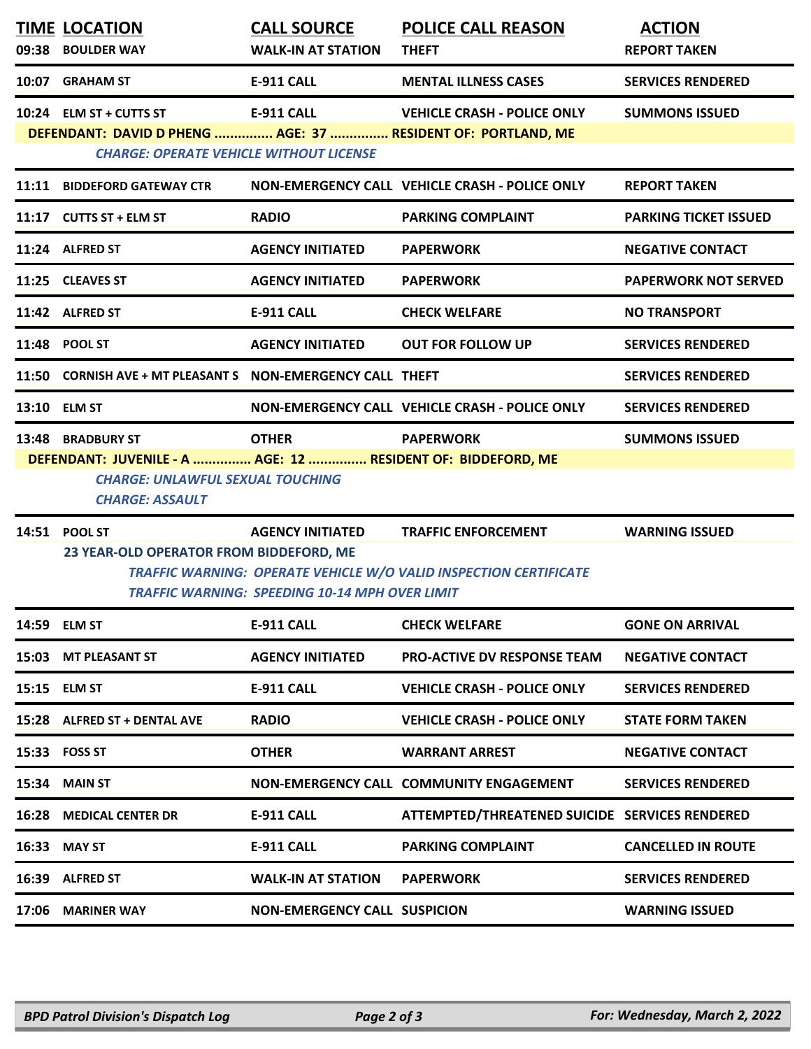| <b>TIME LOCATION</b><br>09:38 BOULDER WAY                                                                                                                                                                           | <b>CALL SOURCE</b><br><b>WALK-IN AT STATION</b>                                  | <b>POLICE CALL REASON</b><br><b>THEFT</b>                                                              | <b>ACTION</b><br><b>REPORT TAKEN</b> |  |  |  |
|---------------------------------------------------------------------------------------------------------------------------------------------------------------------------------------------------------------------|----------------------------------------------------------------------------------|--------------------------------------------------------------------------------------------------------|--------------------------------------|--|--|--|
| 10:07 GRAHAM ST                                                                                                                                                                                                     | <b>E-911 CALL</b>                                                                | <b>MENTAL ILLNESS CASES</b>                                                                            | <b>SERVICES RENDERED</b>             |  |  |  |
| 10:24 ELM ST + CUTTS ST<br>DEFENDANT: DAVID D PHENG  AGE: 37  RESIDENT OF: PORTLAND, ME<br><b>CHARGE: OPERATE VEHICLE WITHOUT LICENSE</b>                                                                           | <b>E-911 CALL</b>                                                                | <b>VEHICLE CRASH - POLICE ONLY</b>                                                                     | <b>SUMMONS ISSUED</b>                |  |  |  |
| 11:11 BIDDEFORD GATEWAY CTR                                                                                                                                                                                         |                                                                                  | NON-EMERGENCY CALL VEHICLE CRASH - POLICE ONLY                                                         | <b>REPORT TAKEN</b>                  |  |  |  |
| 11:17 CUTTS ST + ELM ST                                                                                                                                                                                             | <b>RADIO</b>                                                                     | <b>PARKING COMPLAINT</b>                                                                               | <b>PARKING TICKET ISSUED</b>         |  |  |  |
| 11:24 ALFRED ST                                                                                                                                                                                                     | <b>AGENCY INITIATED</b>                                                          | <b>PAPERWORK</b>                                                                                       | <b>NEGATIVE CONTACT</b>              |  |  |  |
| 11:25 CLEAVES ST                                                                                                                                                                                                    | <b>AGENCY INITIATED</b>                                                          | <b>PAPERWORK</b>                                                                                       | <b>PAPERWORK NOT SERVED</b>          |  |  |  |
| 11:42 ALFRED ST                                                                                                                                                                                                     | <b>E-911 CALL</b>                                                                | <b>CHECK WELFARE</b>                                                                                   | <b>NO TRANSPORT</b>                  |  |  |  |
| 11:48 POOL ST                                                                                                                                                                                                       | <b>AGENCY INITIATED</b>                                                          | <b>OUT FOR FOLLOW UP</b>                                                                               | <b>SERVICES RENDERED</b>             |  |  |  |
| 11:50 CORNISH AVE + MT PLEASANT S NON-EMERGENCY CALL THEFT                                                                                                                                                          |                                                                                  |                                                                                                        | <b>SERVICES RENDERED</b>             |  |  |  |
| 13:10 ELM ST                                                                                                                                                                                                        |                                                                                  | NON-EMERGENCY CALL VEHICLE CRASH - POLICE ONLY                                                         | <b>SERVICES RENDERED</b>             |  |  |  |
| <b>OTHER</b><br>13:48 BRADBURY ST<br><b>PAPERWORK</b><br><b>SUMMONS ISSUED</b><br>DEFENDANT: JUVENILE - A  AGE: 12  RESIDENT OF: BIDDEFORD, ME<br><b>CHARGE: UNLAWFUL SEXUAL TOUCHING</b><br><b>CHARGE: ASSAULT</b> |                                                                                  |                                                                                                        |                                      |  |  |  |
| 14:51 POOL ST<br>23 YEAR-OLD OPERATOR FROM BIDDEFORD, ME                                                                                                                                                            | <b>AGENCY INITIATED</b><br><b>TRAFFIC WARNING: SPEEDING 10-14 MPH OVER LIMIT</b> | <b>TRAFFIC ENFORCEMENT</b><br><b>TRAFFIC WARNING: OPERATE VEHICLE W/O VALID INSPECTION CERTIFICATE</b> | <b>WARNING ISSUED</b>                |  |  |  |
| 14:59 ELM ST                                                                                                                                                                                                        | E-911 CALL                                                                       | <b>CHECK WELFARE</b>                                                                                   | <b>GONE ON ARRIVAL</b>               |  |  |  |
| 15:03 MT PLEASANT ST                                                                                                                                                                                                | <b>AGENCY INITIATED</b>                                                          | <b>PRO-ACTIVE DV RESPONSE TEAM</b>                                                                     | <b>NEGATIVE CONTACT</b>              |  |  |  |
| 15:15 ELM ST                                                                                                                                                                                                        | E-911 CALL                                                                       | <b>VEHICLE CRASH - POLICE ONLY</b>                                                                     | <b>SERVICES RENDERED</b>             |  |  |  |
| 15:28 ALFRED ST + DENTAL AVE                                                                                                                                                                                        | <b>RADIO</b>                                                                     | <b>VEHICLE CRASH - POLICE ONLY</b>                                                                     | <b>STATE FORM TAKEN</b>              |  |  |  |
| 15:33 FOSS ST                                                                                                                                                                                                       | <b>OTHER</b>                                                                     | <b>WARRANT ARREST</b>                                                                                  | <b>NEGATIVE CONTACT</b>              |  |  |  |
| 15:34 MAIN ST                                                                                                                                                                                                       |                                                                                  | NON-EMERGENCY CALL COMMUNITY ENGAGEMENT                                                                | <b>SERVICES RENDERED</b>             |  |  |  |
| 16:28 MEDICAL CENTER DR                                                                                                                                                                                             | E-911 CALL                                                                       | ATTEMPTED/THREATENED SUICIDE SERVICES RENDERED                                                         |                                      |  |  |  |
| 16:33 MAY ST                                                                                                                                                                                                        | E-911 CALL                                                                       | <b>PARKING COMPLAINT</b>                                                                               | <b>CANCELLED IN ROUTE</b>            |  |  |  |
| 16:39 ALFRED ST                                                                                                                                                                                                     | <b>WALK-IN AT STATION</b>                                                        | <b>PAPERWORK</b>                                                                                       | <b>SERVICES RENDERED</b>             |  |  |  |
| 17:06 MARINER WAY                                                                                                                                                                                                   | <b>NON-EMERGENCY CALL SUSPICION</b>                                              |                                                                                                        | <b>WARNING ISSUED</b>                |  |  |  |